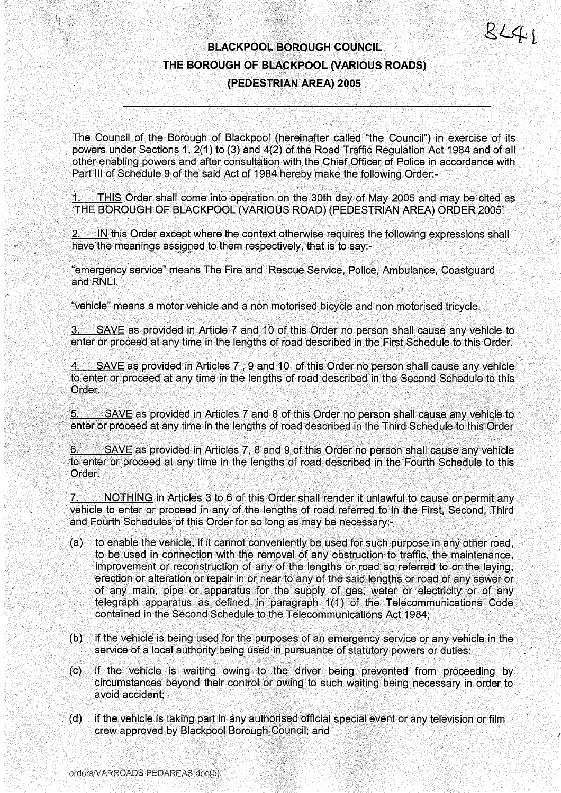$R L 41$ 

# BLACKPOOL BOROUGH COUNCIL THE BOROUGH OF BLACKPOOL (VARIOUS ROADS) (PEDESTRIAN AREA) 2005

The Council of the Borough of Blackpool (hereinafter called "the Council") in exercise of its powers under Sections 1, 2(1) to (3) and 4(2) of the Road Traffic Regulation Act 1984 and of all other enabling powers and after consultation with the Chief Officer of Police in accordance with Part III of Schedule 9 of the said Act of 1984 hereby make the following Order:-

THIS Order shall come into operation on the 30th day of May 2005 and may be cited as `THE BOROUGH OF BLACKPOOL (VARIOUS ROAD) (PEDESTRIAN AREA) ORDER 2005'

2. IN this Order except where the context otherwise requires the following expressions shall have the meanings assigned to them respectively, that is to say:-

"emergency service" means The Fire and Rescue Service, Police, Ambulance, Coastguard and RNLI.

"vehicle" means a motor vehicle and a non motorised bicycle and non motorised tricycle.

3. SAVE as provided in Article 7 and 10 of this Order no person shall cause any vehicle to enter or proceed at any time in the lengths of road described in the First Schedule to this Order.

4. SAVE as provided in Articles 7, 9 and 10 of this Order no person shall cause any vehicle to enter or proceed at any time in the lengths of road described in the Second Schedule to this Order.

SAVE as provided in Articles 7 and 8 of this Order no person shall cause any vehicle to <u>5.</u> enter or proceed at any time in the lengths of road described in the Third Schedule to this Order

SAVE as provided in Articles 7, 8 and 9 of this Order no person shall cause any vehicle 6. to enter or proceed at any time in the lengths of road described in the Fourth Schedule to this Order.

7. NOTHING in Articles 3 to 6 of this Order shall render it unlawful to cause or permit any vehicle to enter or proceed in any of the lengths of road referred to in the First, Second, Third and Fourth Schedules of this Order for so long as may be necessary:-

- $(a)$ to enable the vehicle, if it cannot conveniently be used for such purpose in any other road, to be used in connection with the removal of any obstruction to traffic, the maintenance, improvement or reconstruction of any of the lengths or. road so referred to or the laying, erection or alteration or repair in or near to any of the said lengths or road of any sewer or of any main, pipe or apparatus for the supply of gas, water or electricity or of any telegraph apparatus as defined in paragraph 1(1) of the Telecommunications Code contained in the Second Schedule to the Telecommunications Act 1984;
- $(b)$ if the vehicle is being used for the purposes of an emergency service or any vehicle in the service of a local authority being used in pursuance of statutory powers or duties:
- if the vehicle is waiting owing to the driver being prevented from proceeding by  $(c)$ circumstances beyond their control or owing to such waiting being necessary in order to avoid accident;
- (d) if the vehicle is taking part in any authorised official special event or any television or film crew approved by Blackpool Borough Council; and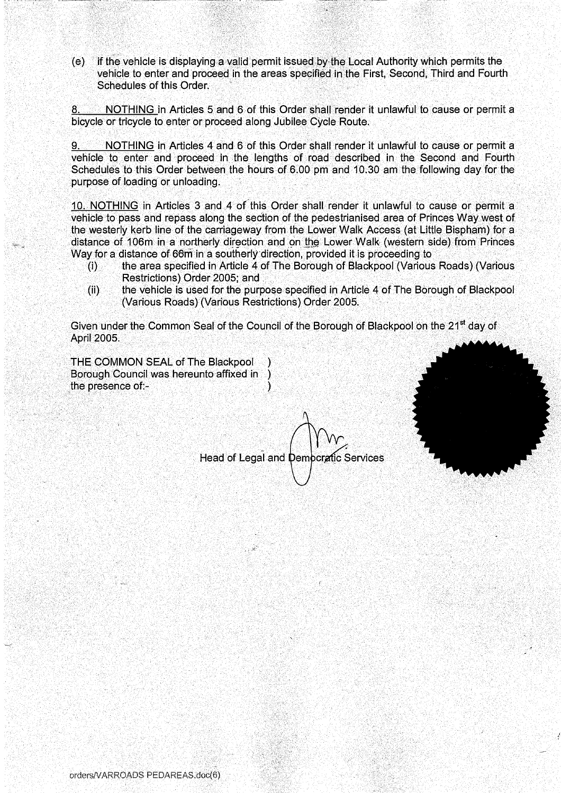(e) if the vehicle is displaying a valid permit issued by the Local Authority which permits the vehicle to enter and proceed in the areas specified in the First, Second, Third and Fourth Schedules of this Order.

NOTHING in Articles 5 and 6 of this Order shall render it unlawful to cause or permit a bicycle or tricycle to enter or proceed along Jubilee Cycle Route.

NOTHING in Articles 4 and 6 of this Order shall render it unlawful to cause or permit a vehicle to enter and proceed in the lengths of road described in the Second and Fourth Schedules to this Order between the hours of 6 .00 pm and 10 .30 am the following day for the purpose of loading or unloading.

10. NOTHING in Articles 3 and 4 of this Order shall render it unlawful to cause or permit a vehicle to pass and repass along the section of the pedestrianised area of Princes Way west of the westerly kerb line of the carriageway from the Lower Walk Access (at Little Bispham) for a distance of 106m in a northerly direction and on the Lower Walk (western side) from Princes Way for a distance of 66m in a southerly direction, provided it is proceeding to<br>the area specified in Article 4 of The Borough of Blackpool (Various

- the area specified in Article 4 of The Borough of Blackpool (Various Roads) (Various Restrictions) Order 2005; and
- (ii) the vehicle is used for the purpose specified in Article 4 of The Borough of Blackpool (Various Roads) (Various Restrictions) Order 2005.

Given under the Common Seal of the Council of the Borough of Blackpool on the 21<sup>st</sup> day of April 2005.

THE COMMON SEAL of The Blackpool Borough Council was hereunto affixed in the presence of:-

Head of Legal and Democratic Services